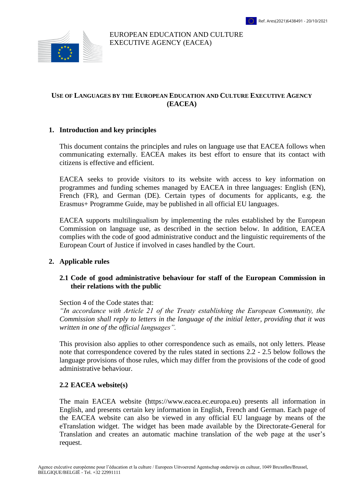

#### EUROPEAN EDUCATION AND CULTURE EXECUTIVE AGENCY (EACEA)

# **USE OF LANGUAGES BY THE EUROPEAN EDUCATION AND CULTURE EXECUTIVE AGENCY (EACEA)**

### **1. Introduction and key principles**

This document contains the principles and rules on language use that EACEA follows when communicating externally. EACEA makes its best effort to ensure that its contact with citizens is effective and efficient.

EACEA seeks to provide visitors to its website with access to key information on programmes and funding schemes managed by EACEA in three languages: English (EN), French (FR), and German (DE). Certain types of documents for applicants, e.g. the Erasmus+ Programme Guide, may be published in all official EU languages.

EACEA supports multilingualism by implementing the rules established by the European Commission on language use, as described in the section below. In addition, EACEA complies with the code of good administrative conduct and the linguistic requirements of the European Court of Justice if involved in cases handled by the Court.

### **2. Applicable rules**

### **2.1 Code of good administrative behaviour for staff of the European Commission in their relations with the public**

#### Section 4 of the Code states that:

*"In accordance with Article 21 of the Treaty establishing the European Community, the Commission shall reply to letters in the language of the initial letter, providing that it was written in one of the official languages".*

This provision also applies to other correspondence such as emails, not only letters. Please note that correspondence covered by the rules stated in sections 2.2 - 2.5 below follows the language provisions of those rules, which may differ from the provisions of the code of good administrative behaviour.

### **2.2 EACEA website(s)**

The main EACEA website (https://www.eacea.ec.europa.eu) presents all information in English, and presents certain key information in English, French and German. Each page of the EACEA website can also be viewed in any official EU language by means of the eTranslation widget. The widget has been made available by the Directorate-General for Translation and creates an automatic machine translation of the web page at the user's request.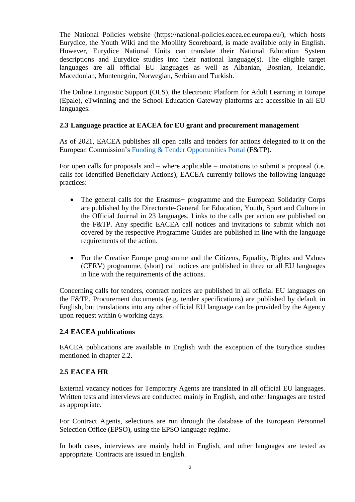The National Policies website (https://national-policies.eacea.ec.europa.eu/), which hosts Eurydice, the Youth Wiki and the Mobility Scoreboard, is made available only in English. However, Eurydice National Units can translate their National Education System descriptions and Eurydice studies into their national language(s). The eligible target languages are all official EU languages as well as Albanian, Bosnian, Icelandic, Macedonian, Montenegrin, Norwegian, Serbian and Turkish.

The Online Linguistic Support (OLS), the Electronic Platform for Adult Learning in Europe (Epale), eTwinning and the School Education Gateway platforms are accessible in all EU languages.

## **2.3 Language practice at EACEA for EU grant and procurement management**

As of 2021, EACEA publishes all open calls and tenders for actions delegated to it on the European Commission's [Funding & Tender Opportunities Portal](https://ec.europa.eu/info/funding-tenders/opportunities/portal/screen/home) (F&TP).

For open calls for proposals and – where applicable – invitations to submit a proposal (i.e. calls for Identified Beneficiary Actions), EACEA currently follows the following language practices:

- The general calls for the Erasmus+ programme and the European Solidarity Corps are published by the Directorate-General for Education, Youth, Sport and Culture in the Official Journal in 23 languages. Links to the calls per action are published on the F&TP. Any specific EACEA call notices and invitations to submit which not covered by the respective Programme Guides are published in line with the language requirements of the action.
- For the Creative Europe programme and the Citizens, Equality, Rights and Values (CERV) programme, (short) call notices are published in three or all EU languages in line with the requirements of the actions.

Concerning calls for tenders, contract notices are published in all official EU languages on the F&TP. Procurement documents (e.g. tender specifications) are published by default in English, but translations into any other official EU language can be provided by the Agency upon request within 6 working days.

### **2.4 EACEA publications**

EACEA publications are available in English with the exception of the Eurydice studies mentioned in chapter 2.2.

### **2.5 EACEA HR**

External vacancy notices for Temporary Agents are translated in all official EU languages. Written tests and interviews are conducted mainly in English, and other languages are tested as appropriate.

For Contract Agents, selections are run through the database of the European Personnel Selection Office (EPSO), using the EPSO language regime.

In both cases, interviews are mainly held in English, and other languages are tested as appropriate. Contracts are issued in English.